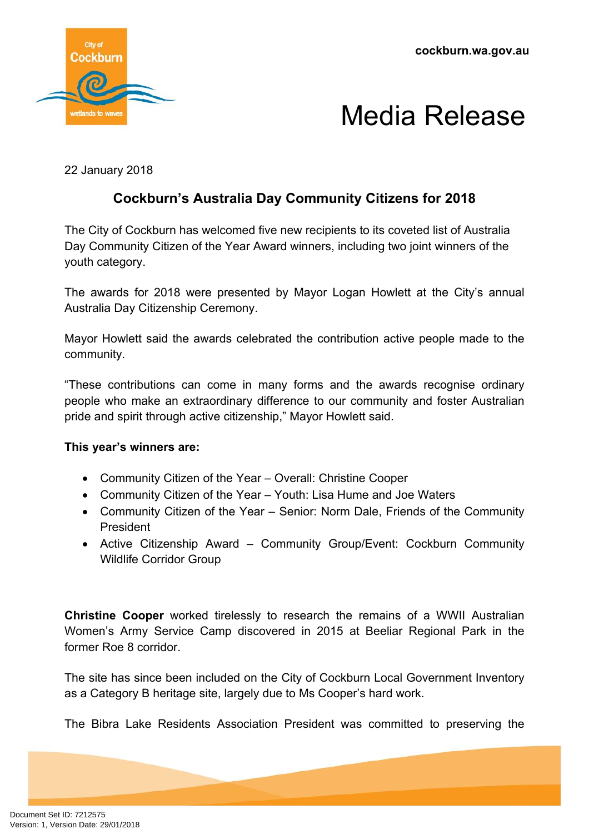**cockburn.wa.gov.au**



### Media Release

22 January 2018

### **Cockburn's Australia Day Community Citizens for 2018**

The City of Cockburn has welcomed five new recipients to its coveted list of Australia Day Community Citizen of the Year Award winners, including two joint winners of the youth category.

The awards for 2018 were presented by Mayor Logan Howlett at the City's annual Australia Day Citizenship Ceremony.

Mayor Howlett said the awards celebrated the contribution active people made to the community.

"These contributions can come in many forms and the awards recognise ordinary people who make an extraordinary difference to our community and foster Australian pride and spirit through active citizenship," Mayor Howlett said.

#### **This year's winners are:**

- Community Citizen of the Year Overall: Christine Cooper
- Community Citizen of the Year Youth: Lisa Hume and Joe Waters
- Community Citizen of the Year Senior: Norm Dale, Friends of the Community President
- Active Citizenship Award Community Group/Event: Cockburn Community Wildlife Corridor Group

**Christine Cooper** worked tirelessly to research the remains of a WWII Australian Women's Army Service Camp discovered in 2015 at Beeliar Regional Park in the former Roe 8 corridor.

The site has since been included on the City of Cockburn Local Government Inventory as a Category B heritage site, largely due to Ms Cooper's hard work.

The Bibra Lake Residents Association President was committed to preserving the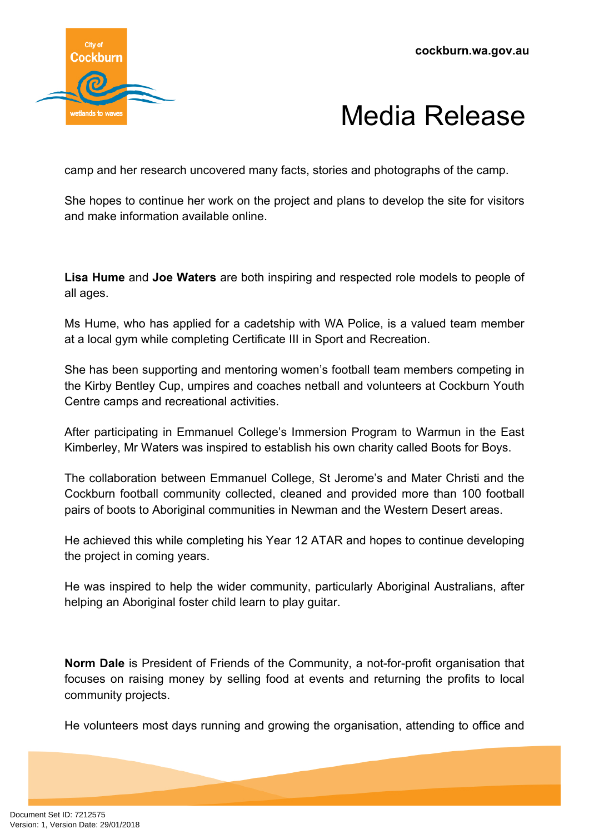

# Media Release

camp and her research uncovered many facts, stories and photographs of the camp.

She hopes to continue her work on the project and plans to develop the site for visitors and make information available online.

**Lisa Hume** and **Joe Waters** are both inspiring and respected role models to people of all ages.

Ms Hume, who has applied for a cadetship with WA Police, is a valued team member at a local gym while completing Certificate III in Sport and Recreation.

She has been supporting and mentoring women's football team members competing in the Kirby Bentley Cup, umpires and coaches netball and volunteers at Cockburn Youth Centre camps and recreational activities.

After participating in Emmanuel College's Immersion Program to Warmun in the East Kimberley, Mr Waters was inspired to establish his own charity called Boots for Boys.

The collaboration between Emmanuel College, St Jerome's and Mater Christi and the Cockburn football community collected, cleaned and provided more than 100 football pairs of boots to Aboriginal communities in Newman and the Western Desert areas.

He achieved this while completing his Year 12 ATAR and hopes to continue developing the project in coming years.

He was inspired to help the wider community, particularly Aboriginal Australians, after helping an Aboriginal foster child learn to play guitar.

**Norm Dale** is President of Friends of the Community, a not-for-profit organisation that focuses on raising money by selling food at events and returning the profits to local community projects.

He volunteers most days running and growing the organisation, attending to office and